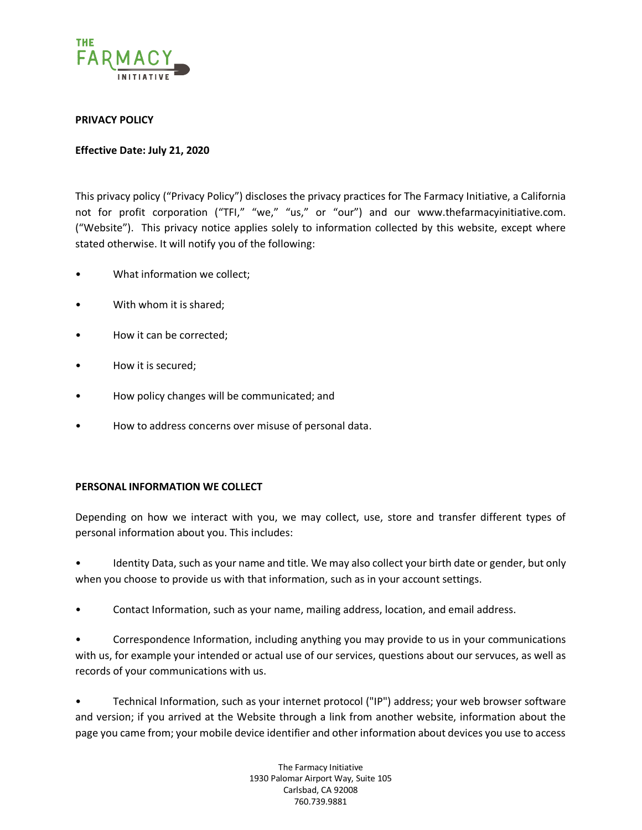

# **PRIVACY POLICY**

### **Effective Date: July 21, 2020**

This privacy policy ("Privacy Policy") discloses the privacy practices for The Farmacy Initiative, a California not for profit corporation ("TFI," "we," "us," or "our") and our www.thefarmacyinitiative.com. ("Website"). This privacy notice applies solely to information collected by this website, except where stated otherwise. It will notify you of the following:

- What information we collect;
- With whom it is shared:
- How it can be corrected;
- How it is secured;
- How policy changes will be communicated; and
- How to address concerns over misuse of personal data.

### **PERSONAL INFORMATION WE COLLECT**

Depending on how we interact with you, we may collect, use, store and transfer different types of personal information about you. This includes:

• Identity Data, such as your name and title. We may also collect your birth date or gender, but only when you choose to provide us with that information, such as in your account settings.

• Contact Information, such as your name, mailing address, location, and email address.

• Correspondence Information, including anything you may provide to us in your communications with us, for example your intended or actual use of our services, questions about our servuces, as well as records of your communications with us.

• Technical Information, such as your internet protocol ("IP") address; your web browser software and version; if you arrived at the Website through a link from another website, information about the page you came from; your mobile device identifier and other information about devices you use to access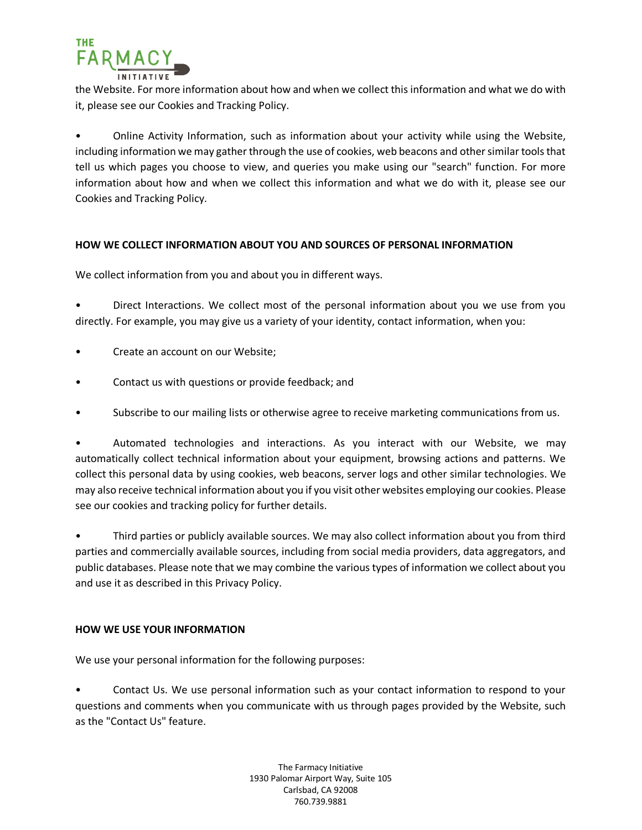

the Website. For more information about how and when we collect this information and what we do with it, please see our Cookies and Tracking Policy.

• Online Activity Information, such as information about your activity while using the Website, including information we may gather through the use of cookies, web beacons and other similar tools that tell us which pages you choose to view, and queries you make using our "search" function. For more information about how and when we collect this information and what we do with it, please see our Cookies and Tracking Policy.

### **HOW WE COLLECT INFORMATION ABOUT YOU AND SOURCES OF PERSONAL INFORMATION**

We collect information from you and about you in different ways.

• Direct Interactions. We collect most of the personal information about you we use from you directly. For example, you may give us a variety of your identity, contact information, when you:

- Create an account on our Website;
- Contact us with questions or provide feedback; and
- Subscribe to our mailing lists or otherwise agree to receive marketing communications from us.

• Automated technologies and interactions. As you interact with our Website, we may automatically collect technical information about your equipment, browsing actions and patterns. We collect this personal data by using cookies, web beacons, server logs and other similar technologies. We may also receive technical information about you if you visit other websites employing our cookies. Please see our cookies and tracking policy for further details.

• Third parties or publicly available sources. We may also collect information about you from third parties and commercially available sources, including from social media providers, data aggregators, and public databases. Please note that we may combine the various types of information we collect about you and use it as described in this Privacy Policy.

### **HOW WE USE YOUR INFORMATION**

We use your personal information for the following purposes:

• Contact Us. We use personal information such as your contact information to respond to your questions and comments when you communicate with us through pages provided by the Website, such as the "Contact Us" feature.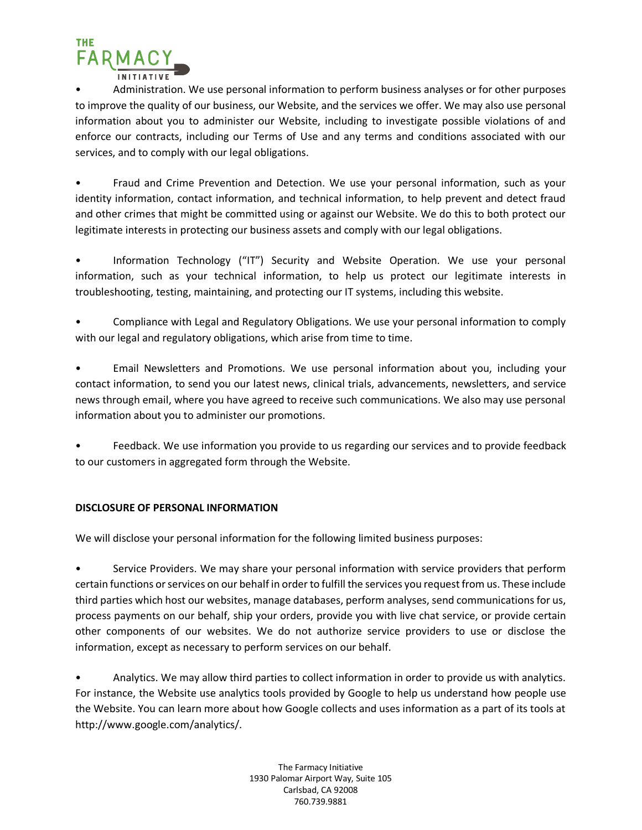

• Administration. We use personal information to perform business analyses or for other purposes to improve the quality of our business, our Website, and the services we offer. We may also use personal information about you to administer our Website, including to investigate possible violations of and enforce our contracts, including our Terms of Use and any terms and conditions associated with our services, and to comply with our legal obligations.

• Fraud and Crime Prevention and Detection. We use your personal information, such as your identity information, contact information, and technical information, to help prevent and detect fraud and other crimes that might be committed using or against our Website. We do this to both protect our legitimate interests in protecting our business assets and comply with our legal obligations.

• Information Technology ("IT") Security and Website Operation. We use your personal information, such as your technical information, to help us protect our legitimate interests in troubleshooting, testing, maintaining, and protecting our IT systems, including this website.

• Compliance with Legal and Regulatory Obligations. We use your personal information to comply with our legal and regulatory obligations, which arise from time to time.

• Email Newsletters and Promotions. We use personal information about you, including your contact information, to send you our latest news, clinical trials, advancements, newsletters, and service news through email, where you have agreed to receive such communications. We also may use personal information about you to administer our promotions.

• Feedback. We use information you provide to us regarding our services and to provide feedback to our customers in aggregated form through the Website.

# **DISCLOSURE OF PERSONAL INFORMATION**

We will disclose your personal information for the following limited business purposes:

• Service Providers. We may share your personal information with service providers that perform certain functions or services on our behalf in order to fulfill the services you request from us. These include third parties which host our websites, manage databases, perform analyses, send communications for us, process payments on our behalf, ship your orders, provide you with live chat service, or provide certain other components of our websites. We do not authorize service providers to use or disclose the information, except as necessary to perform services on our behalf.

• Analytics. We may allow third parties to collect information in order to provide us with analytics. For instance, the Website use analytics tools provided by Google to help us understand how people use the Website. You can learn more about how Google collects and uses information as a part of its tools at http://www.google.com/analytics/.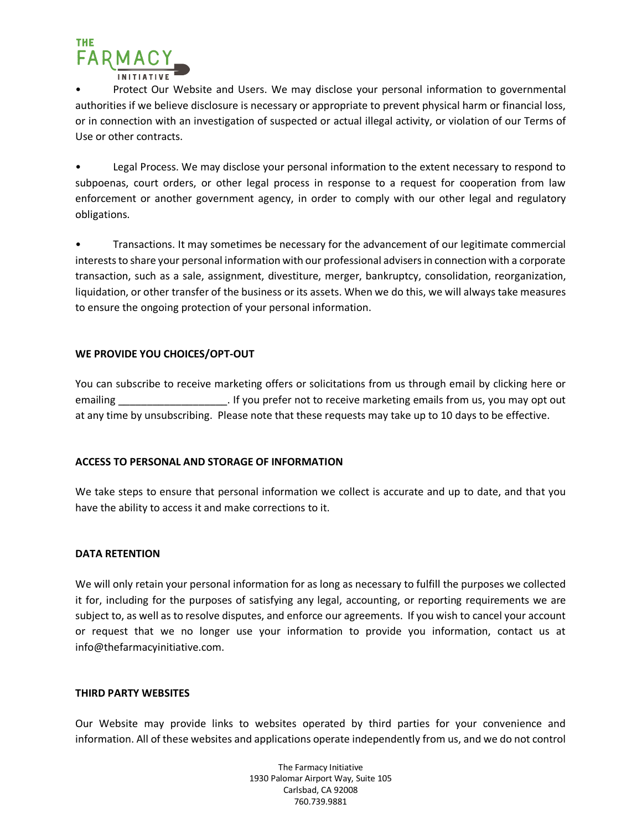

• Protect Our Website and Users. We may disclose your personal information to governmental authorities if we believe disclosure is necessary or appropriate to prevent physical harm or financial loss, or in connection with an investigation of suspected or actual illegal activity, or violation of our Terms of Use or other contracts.

• Legal Process. We may disclose your personal information to the extent necessary to respond to subpoenas, court orders, or other legal process in response to a request for cooperation from law enforcement or another government agency, in order to comply with our other legal and regulatory obligations.

• Transactions. It may sometimes be necessary for the advancement of our legitimate commercial interests to share your personal information with our professional advisers in connection with a corporate transaction, such as a sale, assignment, divestiture, merger, bankruptcy, consolidation, reorganization, liquidation, or other transfer of the business or its assets. When we do this, we will always take measures to ensure the ongoing protection of your personal information.

# **WE PROVIDE YOU CHOICES/OPT-OUT**

You can subscribe to receive marketing offers or solicitations from us through email by clicking here or emailing emailing the settle of the value of the veceive marketing emails from us, you may opt out at any time by unsubscribing. Please note that these requests may take up to 10 days to be effective.

### **ACCESS TO PERSONAL AND STORAGE OF INFORMATION**

We take steps to ensure that personal information we collect is accurate and up to date, and that you have the ability to access it and make corrections to it.

### **DATA RETENTION**

We will only retain your personal information for as long as necessary to fulfill the purposes we collected it for, including for the purposes of satisfying any legal, accounting, or reporting requirements we are subject to, as well as to resolve disputes, and enforce our agreements. If you wish to cancel your account or request that we no longer use your information to provide you information, contact us at info@thefarmacyinitiative.com.

### **THIRD PARTY WEBSITES**

Our Website may provide links to websites operated by third parties for your convenience and information. All of these websites and applications operate independently from us, and we do not control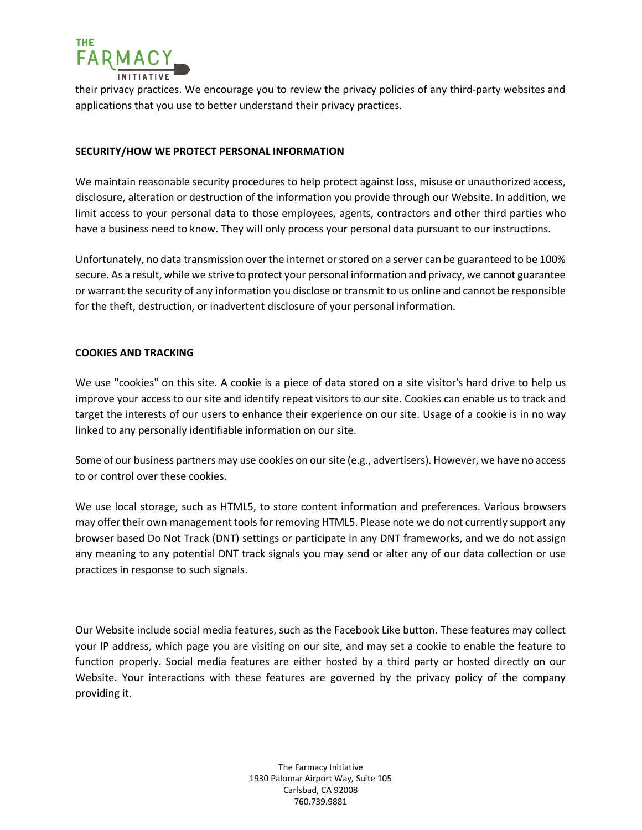

their privacy practices. We encourage you to review the privacy policies of any third-party websites and applications that you use to better understand their privacy practices.

### **SECURITY/HOW WE PROTECT PERSONAL INFORMATION**

We maintain reasonable security procedures to help protect against loss, misuse or unauthorized access, disclosure, alteration or destruction of the information you provide through our Website. In addition, we limit access to your personal data to those employees, agents, contractors and other third parties who have a business need to know. They will only process your personal data pursuant to our instructions.

Unfortunately, no data transmission over the internet or stored on a server can be guaranteed to be 100% secure. As a result, while we strive to protect your personal information and privacy, we cannot guarantee or warrant the security of any information you disclose or transmit to us online and cannot be responsible for the theft, destruction, or inadvertent disclosure of your personal information.

### **COOKIES AND TRACKING**

We use "cookies" on this site. A cookie is a piece of data stored on a site visitor's hard drive to help us improve your access to our site and identify repeat visitors to our site. Cookies can enable us to track and target the interests of our users to enhance their experience on our site. Usage of a cookie is in no way linked to any personally identifiable information on our site.

Some of our business partners may use cookies on our site (e.g., advertisers). However, we have no access to or control over these cookies.

We use local storage, such as HTML5, to store content information and preferences. Various browsers may offer their own management tools for removing HTML5. Please note we do not currently support any browser based Do Not Track (DNT) settings or participate in any DNT frameworks, and we do not assign any meaning to any potential DNT track signals you may send or alter any of our data collection or use practices in response to such signals.

Our Website include social media features, such as the Facebook Like button. These features may collect your IP address, which page you are visiting on our site, and may set a cookie to enable the feature to function properly. Social media features are either hosted by a third party or hosted directly on our Website. Your interactions with these features are governed by the privacy policy of the company providing it.